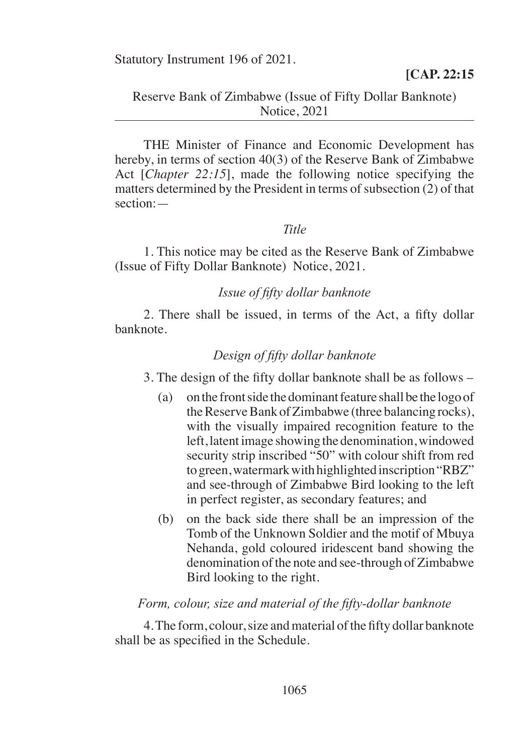Statutory Instrument 196 of 2021.

## Reserve Bank of Zimbabwe (Issue of Fifty Dollar Banknote) Notice, 2021

THE Minister of Finance and Economic Development has hereby, in terms of section 40(3) of the Reserve Bank of Zimbabwe Act [*Chapter 22:15*], made the following notice specifying the matters determined by the President in terms of subsection (2) of that section:—

#### *Title*

1. This notice may be cited as the Reserve Bank of Zimbabwe (Issue of Fifty Dollar Banknote) Notice, 2021.

### *Issue of fifty dollar banknote*

 2. There shall be issued, in terms of the Act, a fifty dollar banknote.

#### *Design of fifty dollar banknote*

 3. The design of the fifty dollar banknote shall be as follows –

- (a) on the front side the dominant feature shall be the logo of the Reserve Bank of Zimbabwe (three balancing rocks), with the visually impaired recognition feature to the left, latent image showing the denomination, windowed security strip inscribed "50" with colour shift from red to green, watermark with highlighted inscription "RBZ" and see-through of Zimbabwe Bird looking to the left in perfect register, as secondary features; and
- (b) on the back side there shall be an impression of the Tomb of the Unknown Soldier and the motif of Mbuya Nehanda, gold coloured iridescent band showing the denomination of the note and see-through of Zimbabwe Bird looking to the right.

#### *Form, colour, size and material of the fifty-dollar banknote*

4. The form, colour, size and material of the fifty dollar banknote shall be as specified in the Schedule.